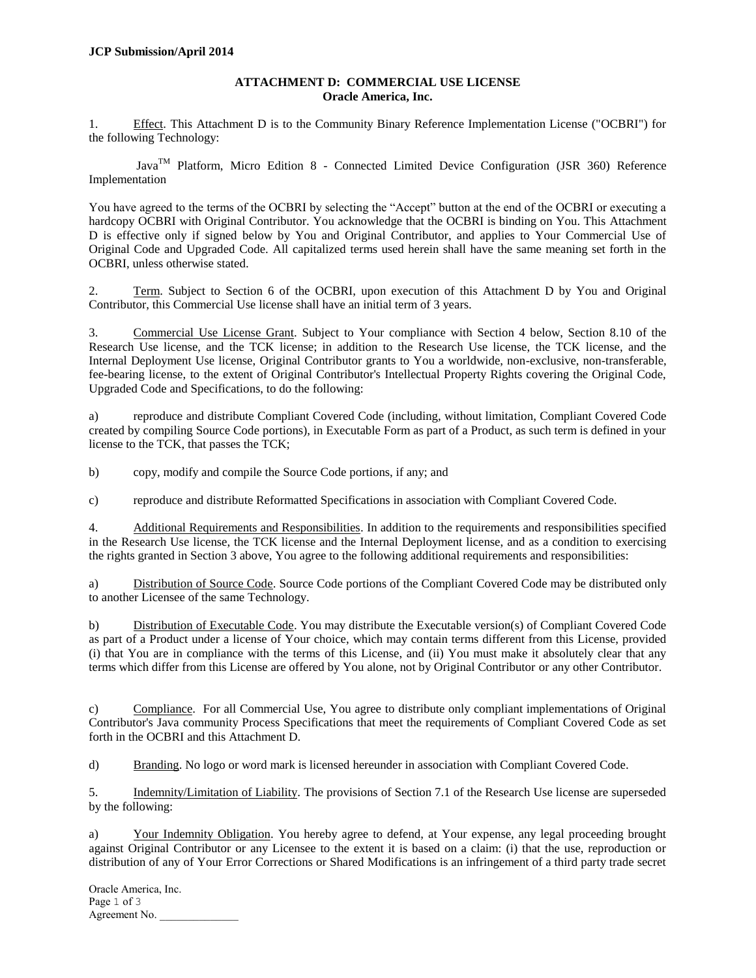## **ATTACHMENT D: COMMERCIAL USE LICENSE Oracle America, Inc.**

1. Effect. This Attachment D is to the Community Binary Reference Implementation License ("OCBRI") for the following Technology:

 $Java^{TM}$  Platform, Micro Edition 8 - Connected Limited Device Configuration (JSR 360) Reference Implementation

You have agreed to the terms of the OCBRI by selecting the "Accept" button at the end of the OCBRI or executing a hardcopy OCBRI with Original Contributor. You acknowledge that the OCBRI is binding on You. This Attachment D is effective only if signed below by You and Original Contributor, and applies to Your Commercial Use of Original Code and Upgraded Code. All capitalized terms used herein shall have the same meaning set forth in the OCBRI, unless otherwise stated.

2. Term. Subject to Section 6 of the OCBRI, upon execution of this Attachment D by You and Original Contributor, this Commercial Use license shall have an initial term of 3 years.

3. Commercial Use License Grant. Subject to Your compliance with Section 4 below, Section 8.10 of the Research Use license, and the TCK license; in addition to the Research Use license, the TCK license, and the Internal Deployment Use license, Original Contributor grants to You a worldwide, non-exclusive, non-transferable, fee-bearing license, to the extent of Original Contributor's Intellectual Property Rights covering the Original Code, Upgraded Code and Specifications, to do the following:

a) reproduce and distribute Compliant Covered Code (including, without limitation, Compliant Covered Code created by compiling Source Code portions), in Executable Form as part of a Product, as such term is defined in your license to the TCK, that passes the TCK;

b) copy, modify and compile the Source Code portions, if any; and

c) reproduce and distribute Reformatted Specifications in association with Compliant Covered Code.

4. Additional Requirements and Responsibilities. In addition to the requirements and responsibilities specified in the Research Use license, the TCK license and the Internal Deployment license, and as a condition to exercising the rights granted in Section 3 above, You agree to the following additional requirements and responsibilities:

a) Distribution of Source Code. Source Code portions of the Compliant Covered Code may be distributed only to another Licensee of the same Technology.

b) Distribution of Executable Code. You may distribute the Executable version(s) of Compliant Covered Code as part of a Product under a license of Your choice, which may contain terms different from this License, provided (i) that You are in compliance with the terms of this License, and (ii) You must make it absolutely clear that any terms which differ from this License are offered by You alone, not by Original Contributor or any other Contributor.

c) Compliance. For all Commercial Use, You agree to distribute only compliant implementations of Original Contributor's Java community Process Specifications that meet the requirements of Compliant Covered Code as set forth in the OCBRI and this Attachment D.

d) Branding. No logo or word mark is licensed hereunder in association with Compliant Covered Code.

5. Indemnity/Limitation of Liability. The provisions of Section 7.1 of the Research Use license are superseded by the following:

a) Your Indemnity Obligation. You hereby agree to defend, at Your expense, any legal proceeding brought against Original Contributor or any Licensee to the extent it is based on a claim: (i) that the use, reproduction or distribution of any of Your Error Corrections or Shared Modifications is an infringement of a third party trade secret

Oracle America, Inc. Page 1 of 3 Agreement No.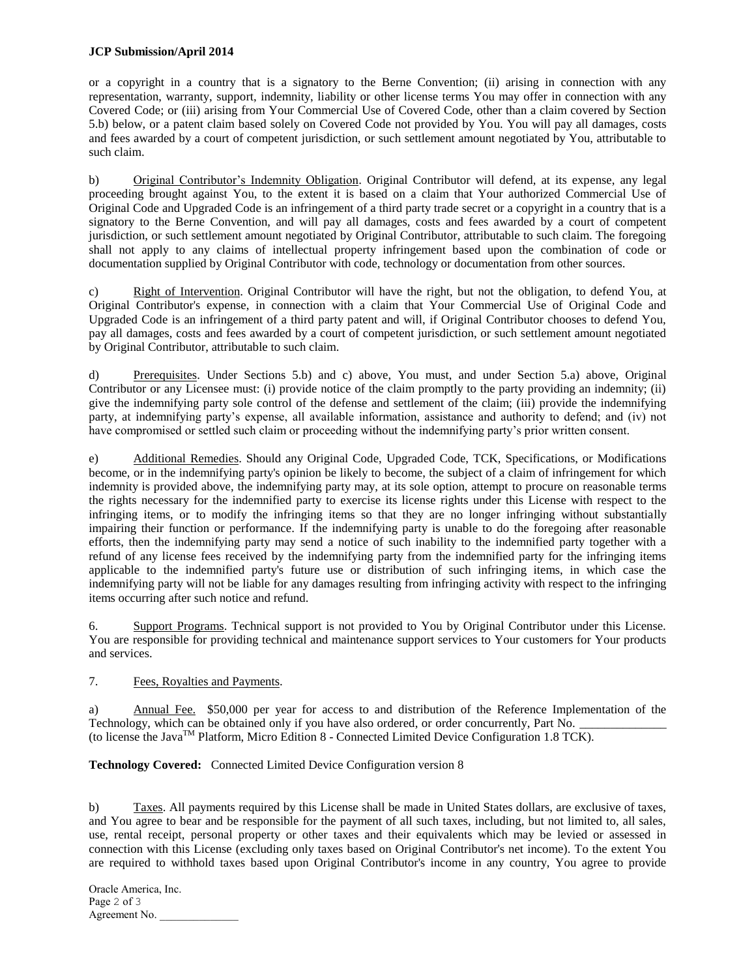## **JCP Submission/April 2014**

or a copyright in a country that is a signatory to the Berne Convention; (ii) arising in connection with any representation, warranty, support, indemnity, liability or other license terms You may offer in connection with any Covered Code; or (iii) arising from Your Commercial Use of Covered Code, other than a claim covered by Section 5.b) below, or a patent claim based solely on Covered Code not provided by You. You will pay all damages, costs and fees awarded by a court of competent jurisdiction, or such settlement amount negotiated by You, attributable to such claim.

b) Original Contributor's Indemnity Obligation. Original Contributor will defend, at its expense, any legal proceeding brought against You, to the extent it is based on a claim that Your authorized Commercial Use of Original Code and Upgraded Code is an infringement of a third party trade secret or a copyright in a country that is a signatory to the Berne Convention, and will pay all damages, costs and fees awarded by a court of competent jurisdiction, or such settlement amount negotiated by Original Contributor, attributable to such claim. The foregoing shall not apply to any claims of intellectual property infringement based upon the combination of code or documentation supplied by Original Contributor with code, technology or documentation from other sources.

c) Right of Intervention. Original Contributor will have the right, but not the obligation, to defend You, at Original Contributor's expense, in connection with a claim that Your Commercial Use of Original Code and Upgraded Code is an infringement of a third party patent and will, if Original Contributor chooses to defend You, pay all damages, costs and fees awarded by a court of competent jurisdiction, or such settlement amount negotiated by Original Contributor, attributable to such claim.

d) Prerequisites. Under Sections 5.b) and c) above, You must, and under Section 5.a) above, Original Contributor or any Licensee must: (i) provide notice of the claim promptly to the party providing an indemnity; (ii) give the indemnifying party sole control of the defense and settlement of the claim; (iii) provide the indemnifying party, at indemnifying party's expense, all available information, assistance and authority to defend; and (iv) not have compromised or settled such claim or proceeding without the indemnifying party's prior written consent.

e) Additional Remedies. Should any Original Code, Upgraded Code, TCK, Specifications, or Modifications become, or in the indemnifying party's opinion be likely to become, the subject of a claim of infringement for which indemnity is provided above, the indemnifying party may, at its sole option, attempt to procure on reasonable terms the rights necessary for the indemnified party to exercise its license rights under this License with respect to the infringing items, or to modify the infringing items so that they are no longer infringing without substantially impairing their function or performance. If the indemnifying party is unable to do the foregoing after reasonable efforts, then the indemnifying party may send a notice of such inability to the indemnified party together with a refund of any license fees received by the indemnifying party from the indemnified party for the infringing items applicable to the indemnified party's future use or distribution of such infringing items, in which case the indemnifying party will not be liable for any damages resulting from infringing activity with respect to the infringing items occurring after such notice and refund.

6. Support Programs. Technical support is not provided to You by Original Contributor under this License. You are responsible for providing technical and maintenance support services to Your customers for Your products and services.

## 7. Fees, Royalties and Payments.

a) Annual Fee. \$50,000 per year for access to and distribution of the Reference Implementation of the Technology, which can be obtained only if you have also ordered, or order concurrently, Part No. (to license the JavaTM Platform, Micro Edition 8 - Connected Limited Device Configuration 1.8 TCK).

**Technology Covered:** Connected Limited Device Configuration version 8

b) Taxes. All payments required by this License shall be made in United States dollars, are exclusive of taxes, and You agree to bear and be responsible for the payment of all such taxes, including, but not limited to, all sales, use, rental receipt, personal property or other taxes and their equivalents which may be levied or assessed in connection with this License (excluding only taxes based on Original Contributor's net income). To the extent You are required to withhold taxes based upon Original Contributor's income in any country, You agree to provide

Oracle America, Inc. Page 2 of 3 Agreement No.